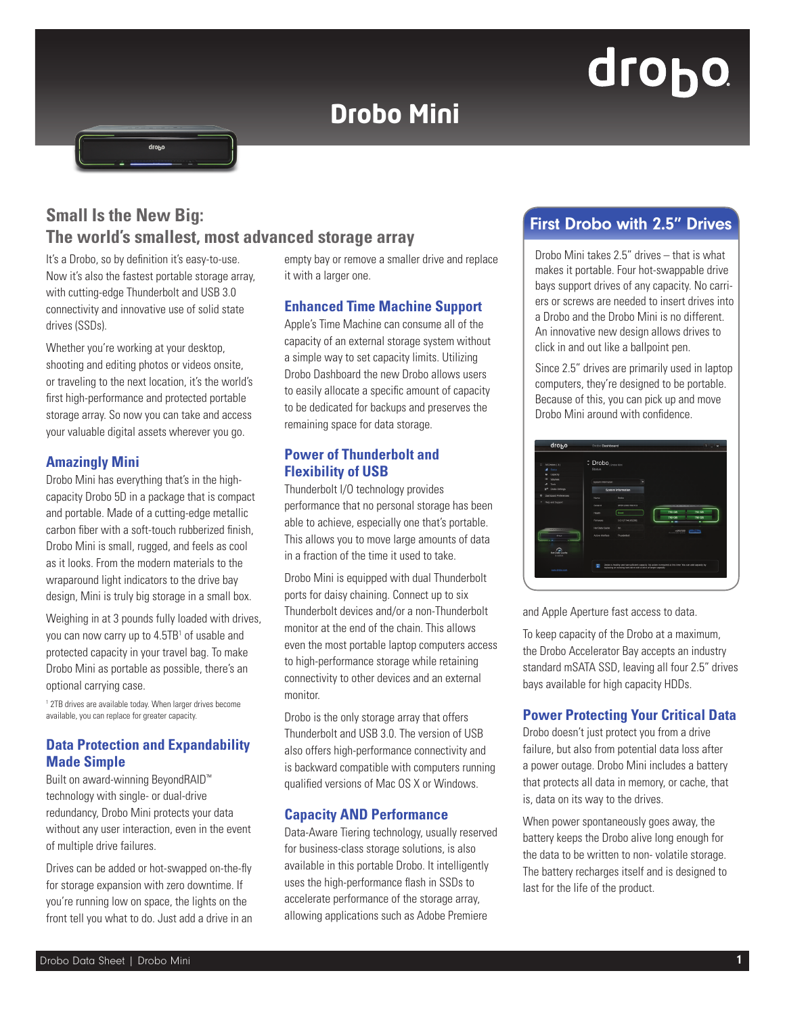# **Drobo Mini**

# drobo

## **Small Is the New Big: The world's smallest, most advanced storage array**

It's a Drobo, so by definition it's easy-to-use. Now it's also the fastest portable storage array, with cutting-edge Thunderbolt and USB 3.0 connectivity and innovative use of solid state drives (SSDs).

Whether you're working at your desktop. shooting and editing photos or videos onsite, or traveling to the next location, it's the world's first high-performance and protected portable storage array. So now you can take and access your valuable digital assets wherever you go.

#### **Amazingly Mini**

Drobo Mini has everything that's in the highcapacity Drobo 5D in a package that is compact and portable. Made of a cutting-edge metallic carbon fiber with a soft-touch rubberized finish, Drobo Mini is small, rugged, and feels as cool as it looks. From the modern materials to the wraparound light indicators to the drive bay design, Mini is truly big storage in a small box.

Weighing in at 3 pounds fully loaded with drives, you can now carry up to 4.5TB1 of usable and protected capacity in your travel bag. To make Drobo Mini as portable as possible, there's an optional carrying case.

1 2TB drives are available today. When larger drives become available, you can replace for greater capacity.

#### **Data Protection and Expandability Made Simple**

Built on award-winning BeyondRAID™ technology with single- or dual-drive redundancy, Drobo Mini protects your data without any user interaction, even in the event of multiple drive failures.

Drives can be added or hot-swapped on-the-fly for storage expansion with zero downtime. If you're running low on space, the lights on the front tell you what to do. Just add a drive in an

empty bay or remove a smaller drive and replace it with a larger one.

#### **Enhanced Time Machine Support**

Apple's Time Machine can consume all of the capacity of an external storage system without a simple way to set capacity limits. Utilizing Drobo Dashboard the new Drobo allows users to easily allocate a specific amount of capacity to be dedicated for backups and preserves the remaining space for data storage.

#### **Power of Thunderbolt and Flexibility of USB**

Thunderbolt I/O technology provides performance that no personal storage has been able to achieve, especially one that's portable. This allows you to move large amounts of data in a fraction of the time it used to take.

Drobo Mini is equipped with dual Thunderbolt ports for daisy chaining. Connect up to six Thunderbolt devices and/or a non-Thunderbolt monitor at the end of the chain. This allows even the most portable laptop computers access to high-performance storage while retaining connectivity to other devices and an external monitor.

Drobo is the only storage array that offers Thunderbolt and USB 3.0. The version of USB also offers high-performance connectivity and is backward compatible with computers running qualified versions of Mac OS X or Windows.

#### **Capacity AND Performance**

Data-Aware Tiering technology, usually reserved for business-class storage solutions, is also available in this portable Drobo. It intelligently uses the high-performance flash in SSDs to accelerate performance of the storage array, allowing applications such as Adobe Premiere

### First Drobo with 2.5" Drives

Drobo Mini takes 2.5" drives – that is what makes it portable. Four hot-swappable drive bays support drives of any capacity. No carriers or screws are needed to insert drives into a Drobo and the Drobo Mini is no different. An innovative new design allows drives to click in and out like a ballpoint pen.

Since 2.5" drives are primarily used in laptop computers, they're designed to be portable. Because of this, you can pick up and move Drobo Mini around with confidence.

| 22 ALDROOM (3)<br>٠<br>Stetus<br>Capacity<br>e<br>٠ | <sup>2</sup> Drobo <sub>[Drobo Mm]</sub><br><b>Status</b> |                           |  |                                                                                                           |
|-----------------------------------------------------|-----------------------------------------------------------|---------------------------|--|-----------------------------------------------------------------------------------------------------------|
| <b><i><u>Volumes</u></i></b><br>Tools.<br>-         | System Internation                                        | ۳                         |  |                                                                                                           |
| Drobe Settings<br>$\sigma^4$                        |                                                           | <b>System Information</b> |  |                                                                                                           |
| $\circ$<br><b>Dashboard Preferences</b><br>٠        | Name                                                      | Drive.                    |  |                                                                                                           |
| <b>Help and Support</b>                             | Serial #                                                  | 068123801900153           |  | --<br>-                                                                                                   |
|                                                     | Health                                                    | Good                      |  | 750 08<br>750 08<br>750 GM<br>750 GM                                                                      |
|                                                     | Firmware                                                  | 3.0.917.140.652909        |  |                                                                                                           |
| <b>CARDONAL</b>                                     | <b>Hel Data Cariha</b>                                    | $\sim$                    |  | mMAD                                                                                                      |
| dessa                                               | Active Interface                                          | Thunderboit               |  | <b><i><u>Accompanient</u></i></b>                                                                         |
| ≏<br><b>Higt Data Cache</b><br>is active            |                                                           |                           |  |                                                                                                           |
|                                                     | п                                                         |                           |  | Drobe is healthy and has sufficient capacity. No action is required at this time. You can add capacity by |

and Apple Aperture fast access to data.

To keep capacity of the Drobo at a maximum, the Drobo Accelerator Bay accepts an industry standard mSATA SSD, leaving all four 2.5" drives bays available for high capacity HDDs.

#### **Power Protecting Your Critical Data**

Drobo doesn't just protect you from a drive failure, but also from potential data loss after a power outage. Drobo Mini includes a battery that protects all data in memory, or cache, that is, data on its way to the drives.

When power spontaneously goes away, the battery keeps the Drobo alive long enough for the data to be written to non- volatile storage. The battery recharges itself and is designed to last for the life of the product.